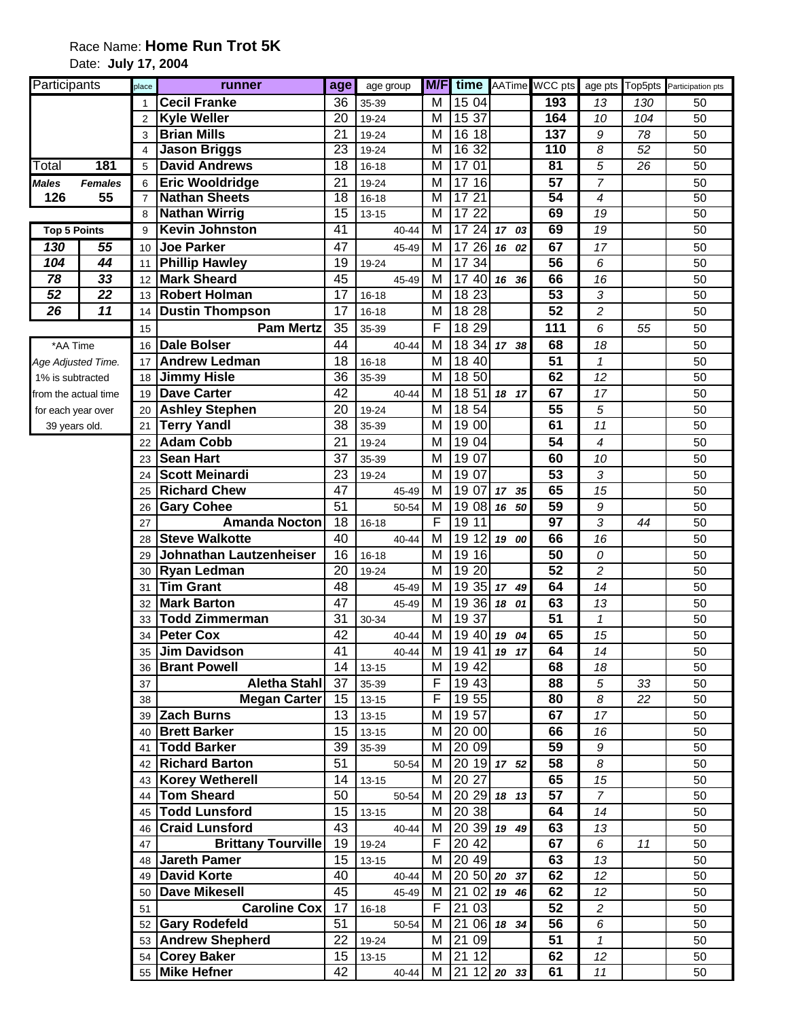## Race Name: **Home Run Trot 5K** Date: **July 17, 2004**

| Participants         |                | place          | runner                                     | age             | age group              | M/F                     | time                  |               | AATime WCC pts  |                          |     | age pts Top5pts Participation pts |
|----------------------|----------------|----------------|--------------------------------------------|-----------------|------------------------|-------------------------|-----------------------|---------------|-----------------|--------------------------|-----|-----------------------------------|
|                      |                |                | <b>Cecil Franke</b>                        | 36              | 35-39                  | M                       | 15 04                 |               | 193             | 13                       | 130 | 50                                |
|                      |                | $\overline{2}$ | <b>Kyle Weller</b>                         | 20              | 19-24                  | М                       | 15 37                 |               | 164             | 10                       | 104 | 50                                |
|                      |                | 3              | <b>Brian Mills</b>                         | 21              | 19-24                  | М                       | 16 18                 |               | 137             | 9                        | 78  | 50                                |
|                      |                | 4              | <b>Jason Briggs</b>                        | $\overline{23}$ | 19-24                  | м                       | 16 32                 |               | 110             | 8                        | 52  | 50                                |
| Total                | 181            | 5              | <b>David Andrews</b>                       | $\overline{18}$ | $16 - 18$              | М                       | 17 01                 |               | $\overline{81}$ | 5                        | 26  | 50                                |
| <b>Males</b>         | <b>Females</b> | 6              | <b>Eric Wooldridge</b>                     | 21              | 19-24                  | M                       | 17 16                 |               | 57              | $\overline{7}$           |     | 50                                |
| 126                  | 55             | $\overline{7}$ | <b>Nathan Sheets</b>                       | $\overline{18}$ | $16 - 18$              | $\overline{\mathsf{M}}$ | 1721                  |               | 54              | $\boldsymbol{4}$         |     | 50                                |
|                      |                | 8              | <b>Nathan Wirrig</b>                       | $\overline{15}$ | $13 - 15$              | $\overline{\mathsf{M}}$ | 1722                  |               | 69              | 19                       |     | 50                                |
| <b>Top 5 Points</b>  |                | 9              | Kevin Johnston                             | 41              | 40-44                  | M                       |                       | 17 24 17 03   | 69              | $\overline{19}$          |     | 50                                |
| 130                  | 55             | 10             | <b>Joe Parker</b>                          | 47              | 45-49                  | M                       | 17 26                 | 16 02         | 67              | 17                       |     | 50                                |
| 104                  | 44             | 11             | <b>Phillip Hawley</b>                      | 19              | 19-24                  | M                       | 17 34                 |               | 56              | 6                        |     | 50                                |
| 78                   | 33             | 12             | <b>Mark Sheard</b>                         | 45              | 45-49                  | M                       | 17 40                 | 16 36         | 66              | 16                       |     | 50                                |
| 52                   | 22             | 13             | <b>Robert Holman</b>                       | 17              | $16 - 18$              | M                       | $\overline{18}$ 23    |               | $\overline{53}$ | 3                        |     | 50                                |
| $\overline{26}$      | 11             | 14             | <b>Dustin Thompson</b>                     | $\overline{17}$ | $16 - 18$              | M                       | 18 28                 |               | 52              | $\overline{c}$           |     | 50                                |
|                      |                | 15             | <b>Pam Mertz</b>                           | 35              | 35-39                  | F                       | 18 29                 |               | 111             | 6                        | 55  | 50                                |
| *AA Time             |                | 16             | <b>Dale Bolser</b>                         | 44              | 40-44                  | M                       |                       | 18 34 17 38   | 68              | 18                       |     | 50                                |
| Age Adjusted Time.   |                | 17             | <b>Andrew Ledman</b>                       | 18              | $16 - 18$              | M                       | 18 40                 |               | $\overline{51}$ | $\mathbf 1$              |     | 50                                |
| 1% is subtracted     |                | 18             | <b>Jimmy Hisle</b>                         | 36              | 35-39                  | M                       | 18 50                 |               | 62              | 12                       |     | 50                                |
| from the actual time |                | 19             | <b>Dave Carter</b>                         | 42              | 40-44                  | M                       | 18 51                 | 18 17         | 67              | 17                       |     | 50                                |
| for each year over   |                | 20             | <b>Ashley Stephen</b>                      | 20              | 19-24                  | M                       | 18 54                 |               | 55              | 5                        |     | 50                                |
| 39 years old.        |                | 21             | <b>Terry Yandl</b>                         | 38              | 35-39                  | M                       | 19 00                 |               | 61              | 11                       |     | 50                                |
|                      |                | 22             | <b>Adam Cobb</b>                           | 21              | 19-24                  | M                       | 19 04                 |               | 54              | $\overline{\mathcal{A}}$ |     | 50                                |
|                      |                | 23             | <b>Sean Hart</b>                           | 37              | 35-39                  | м                       | 19 07                 |               | 60              | 10                       |     | 50                                |
|                      |                | 24             | <b>Scott Meinardi</b>                      | 23              | 19-24                  | м                       | 19 07                 |               | 53              | 3                        |     | 50                                |
|                      |                | 25             | <b>Richard Chew</b>                        | 47              | 45-49                  | M                       | 19 07                 | 17 35         | 65              | 15                       |     | 50                                |
|                      |                | 26             | <b>Gary Cohee</b>                          | 51              | 50-54                  | M                       |                       | 19 08 16 50   | 59              | 9                        |     | 50                                |
|                      |                | 27             | <b>Amanda Nocton</b>                       | 18              | $16 - 18$              | F                       | 19 11                 |               | 97              | 3                        | 44  | 50                                |
|                      |                | 28             | <b>Steve Walkotte</b>                      | 40              | 40-44                  | M                       | 19<br>12              | 19 00         | 66              | 16                       |     | 50                                |
|                      |                | 29             | Johnathan Lautzenheiser                    | 16              | $16 - 18$              | M                       | 19 16                 |               | 50              | 0                        |     | 50                                |
|                      |                | 30             | <b>Ryan Ledman</b>                         | 20              | 19-24                  | M                       | 19 20                 |               | 52              | $\overline{c}$           |     | 50                                |
|                      |                | 31             | <b>Tim Grant</b>                           | 48              | 45-49                  | M                       |                       | 19 35 17 49   | 64              | 14                       |     | 50                                |
|                      |                | 32             | <b>Mark Barton</b>                         | 47              | 45-49                  | M                       |                       | 19 36 18 01   | 63              | 13                       |     | 50                                |
|                      |                | 33             | <b>Todd Zimmerman</b><br><b>Peter Cox</b>  | 31              | 30-34                  | M                       | 19 37                 |               | $\overline{51}$ | $\mathcal I$             |     | 50                                |
|                      |                | 34             |                                            | 42<br>41        | 40-44                  | M                       |                       | 19 40 19 04   | 65              | 15                       |     | 50                                |
|                      |                | 35             | <b>Jim Davidson</b>                        |                 | 40-44                  |                         |                       | M 19 41 19 17 | 64              | 14                       |     | 50                                |
|                      |                | 36             | <b>Brant Powell</b><br><b>Aletha Stahl</b> | 14<br>37        | $13 - 15$<br>35-39     | М<br>F                  | 19 42<br>19 43        |               | 68<br>88        | 18<br>5                  | 33  | 50<br>50                          |
|                      |                | 37             |                                            | 15              |                        | F                       | 19 55                 |               | 80              | $\boldsymbol{\delta}$    | 22  | 50                                |
|                      |                | 38             | <b>Megan Carter</b><br>39 Zach Burns       | 13              | $13 - 15$<br>$13 - 15$ | M                       | 19 57                 |               | 67              | 17                       |     | 50                                |
|                      |                |                | 40 Brett Barker                            | 15              | $13 - 15$              | M                       | 20 00                 |               | 66              | 16                       |     | 50                                |
|                      |                |                | 41 Todd Barker                             | 39              | 35-39                  | M                       | 20 09                 |               | 59              | $\boldsymbol{9}$         |     | 50                                |
|                      |                |                | 42 Richard Barton                          | 51              | 50-54                  | М                       |                       | 20 19 17 52   | 58              | 8                        |     | 50                                |
|                      |                |                | 43 Korey Wetherell                         | 14              | $13 - 15$              | М                       | 20 27                 |               | 65              | 15                       |     | 50                                |
|                      |                |                | 44 Tom Sheard                              | 50              | 50-54                  | M                       |                       | $2029$ 18 13  | 57              | $\overline{7}$           |     | 50                                |
|                      |                | 45             | <b>Todd Lunsford</b>                       | 15              | $13 - 15$              | M                       | 20 38                 |               | 64              | 14                       |     | 50                                |
|                      |                | 46             | <b>Craid Lunsford</b>                      | 43              | 40-44                  | М                       |                       | 20 39 19 49   | 63              | 13                       |     | 50                                |
|                      |                | 47             | <b>Brittany Tourville</b>                  | 19              | 19-24                  | F                       | 20 42                 |               | 67              | 6                        | 11  | 50                                |
|                      |                | 48             | <b>Jareth Pamer</b>                        | 15              | $13 - 15$              | М                       | 20 49                 |               | 63              | 13                       |     | 50                                |
|                      |                | 49             | <b>David Korte</b>                         | 40              | 40-44                  | м                       |                       | 20 50 20 37   | 62              | 12                       |     | 50                                |
|                      |                | 50             | <b>Dave Mikesell</b>                       | 45              | 45-49                  | M                       | 21                    | $02$ 19 46    | 62              | 12                       |     | 50                                |
|                      |                | 51             | <b>Caroline Cox</b>                        | 17              | $16 - 18$              | F                       | 21<br>03              |               | 52              | $\overline{c}$           |     | 50                                |
|                      |                |                | 52 Gary Rodefeld                           | 51              | 50-54                  | M                       | 21                    | 06 18 34      | 56              | 6                        |     | 50                                |
|                      |                |                | 53 Andrew Shepherd                         | 22              | 19-24                  | M                       | $\overline{21}$<br>09 |               | 51              | $\mathbf{1}$             |     | 50                                |
|                      |                |                | 54 Corey Baker                             | 15              | $13 - 15$              | М                       | 21<br>12              |               | 62              | 12                       |     | 50                                |
|                      |                |                | 55 Mike Hefner                             | 42              | $40 - 44$              | М                       |                       | $2112$ 20 33  | 61              | 11                       |     | 50                                |
|                      |                |                |                                            |                 |                        |                         |                       |               |                 |                          |     |                                   |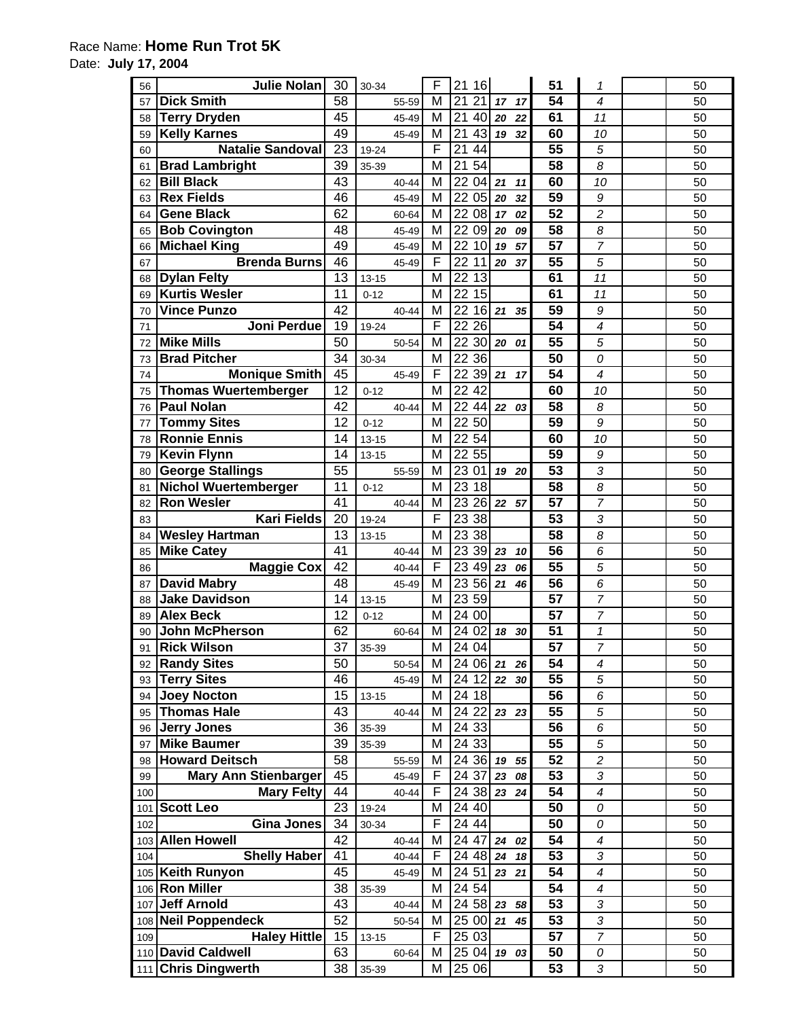## Race Name: **Home Run Trot 5K**

Date: **July 17, 2004** 

| 56  | <b>Julie Nolan</b>                          | 30              | 30-34     |       | F | 21<br>16  |       |    | 51              | 1                | 50       |
|-----|---------------------------------------------|-----------------|-----------|-------|---|-----------|-------|----|-----------------|------------------|----------|
| 57  | <b>Dick Smith</b>                           | 58              |           | 55-59 | M | 21<br>21  | 17    | 17 | 54              | 4                | 50       |
| 58  | <b>Terry Dryden</b>                         | 45              |           | 45-49 | M | 21<br>40  | 20    | 22 | 61              | 11               | 50       |
| 59  | <b>Kelly Karnes</b>                         | 49              |           | 45-49 | M | 43<br>21  | 19    | 32 | 60              | 10               | 50       |
| 60  | <b>Natalie Sandoval</b>                     | 23              | 19-24     |       | F | 21<br>44  |       |    | 55              | 5                | 50       |
| 61  | <b>Brad Lambright</b>                       | 39              | 35-39     |       | M | 21<br>54  |       |    | 58              | 8                | 50       |
| 62  | <b>Bill Black</b>                           | 43              |           | 40-44 | M | 22<br>04  | 21    | 11 | 60              | 10               | 50       |
| 63  | <b>Rex Fields</b>                           | 46              |           | 45-49 | M | 22 05     | 20    | 32 | 59              | 9                | 50       |
| 64  | <b>Gene Black</b>                           | 62              |           | 60-64 | M | 22 08     | 17    | 02 | $\overline{52}$ | $\overline{c}$   | 50       |
| 65  | <b>Bob Covington</b>                        | 48              |           | 45-49 | M | 22<br>09  | 20    | 09 | $\overline{58}$ | 8                | 50       |
| 66  | <b>Michael King</b>                         | 49              |           | 45-49 | M | 10<br>22  | 19    | 57 | $\overline{57}$ | $\overline{7}$   | 50       |
| 67  | <b>Brenda Burns</b>                         | 46              |           | 45-49 | F | 22<br>11  | 20    | 37 | $\overline{55}$ | 5                | 50       |
| 68  | <b>Dylan Felty</b>                          | 13              | $13 - 15$ |       | M | 13<br>22  |       |    | 61              | 11               | 50       |
| 69  | <b>Kurtis Wesler</b>                        | 11              | $0 - 12$  |       | M | 22<br>15  |       |    | 61              | 11               | 50       |
| 70  | <b>Vince Punzo</b>                          | 42              |           | 40-44 | M | 22<br>16  | 21    | 35 | $\overline{59}$ | 9                | 50       |
| 71  | Joni Perdue                                 | 19              | 19-24     |       | F | 22 26     |       |    | $\overline{54}$ | 4                | 50       |
|     | <b>Mike Mills</b>                           | 50              |           |       | M | 22 30     |       |    | $\overline{55}$ | 5                | 50       |
| 72  |                                             | 34              |           | 50-54 | M | 2236      | 20    | 01 | $\overline{50}$ |                  |          |
| 73  | <b>Brad Pitcher</b><br><b>Monique Smith</b> | 45              | 30-34     | 45-49 | F | 22<br>39  | 21    | 17 | 54              | 0<br>4           | 50<br>50 |
| 74  | <b>Thomas Wuertemberger</b>                 | 12              |           |       | M | 22<br>42  |       |    | 60              |                  |          |
| 75  | <b>Paul Nolan</b>                           |                 | $0 - 12$  |       |   |           |       |    |                 | 10               | 50       |
| 76  |                                             | 42              |           | 40-44 | M | 22<br>44  | 22    | 03 | 58              | 8                | 50       |
| 77  | <b>Tommy Sites</b>                          | 12              | $0 - 12$  |       | M | 22 50     |       |    | 59              | 9                | 50       |
| 78  | <b>Ronnie Ennis</b>                         | 14              | $13 - 15$ |       | M | 22 54     |       |    | 60              | 10               | 50       |
| 79  | <b>Kevin Flynn</b>                          | 14              | $13 - 15$ |       | M | 22 55     |       |    | 59              | 9                | 50       |
| 80  | <b>George Stallings</b>                     | $\overline{55}$ |           | 55-59 | M | 23<br>01  | 19    | 20 | $\overline{53}$ | 3                | 50       |
| 81  | <b>Nichol Wuertemberger</b>                 | 11              | $0 - 12$  |       | M | 18<br>23  |       |    | $\overline{58}$ | 8                | 50       |
| 82  | <b>Ron Wesler</b>                           | 41              |           | 40-44 | M | 23<br>26  | 22 57 |    | 57              | $\overline{7}$   | 50       |
| 83  | <b>Kari Fields</b>                          | 20              | 19-24     |       | F | 23<br>38  |       |    | 53              | 3                | 50       |
| 84  | <b>Wesley Hartman</b>                       | $\overline{13}$ | $13 - 15$ |       | M | 23<br>38  |       |    | $\overline{58}$ | 8                | 50       |
| 85  | <b>Mike Catey</b>                           | 41              |           | 40-44 | M | 23<br>39  | 23    | 10 | 56              | 6                | 50       |
| 86  | <b>Maggie Cox</b>                           | 42              |           | 40-44 | F | 23<br>49  | 23    | 06 | 55              | 5                | 50       |
| 87  | <b>David Mabry</b>                          | 48              |           | 45-49 | M | 23<br>56  | 21    | 46 | 56              | 6                | 50       |
| 88  | <b>Jake Davidson</b>                        | 14              | $13 - 15$ |       | M | 23 59     |       |    | $\overline{57}$ | 7                | 50       |
| 89  | <b>Alex Beck</b>                            | 12              | $0 - 12$  |       | M | 24 00     |       |    | 57              | 7                | 50       |
| 90  | <b>John McPherson</b>                       | 62              |           | 60-64 | M | 24 02     | 18    | 30 | 51              | $\mathbf{1}$     | 50       |
| 91  | <b>Rick Wilson</b>                          | 37              | 35-39     |       | M | 24 04     |       |    | $\overline{57}$ | $\overline{7}$   | 50       |
| 92  | <b>Randy Sites</b>                          | 50              |           | 50-54 | M | 24 06     | 21    | 26 | 54              | 4                | 50       |
| 93  | <b>Terry Sites</b>                          | 46              |           | 45-49 | M | 24 12     | 22    | 30 | 55              | 5                | 50       |
| 94  | <b>Joey Nocton</b>                          | 15              | $13 - 15$ |       | M | 24 18     |       |    | 56              | 6                | 50       |
| 95  | <b>Thomas Hale</b>                          | 43              |           | 40-44 | M | 24 22     | 23 23 |    | 55              | 5                | 50       |
| 96  | <b>Jerry Jones</b>                          | 36              | 35-39     |       | M | 24 33     |       |    | 56              | 6                | 50       |
| 97  | <b>Mike Baumer</b>                          | 39              | 35-39     |       | M | 24 33     |       |    | 55              | 5                | 50       |
| 98  | <b>Howard Deitsch</b>                       | 58              |           | 55-59 | M | $2436$ 19 |       | 55 | 52              | $\boldsymbol{2}$ | 50       |
| 99  | <b>Mary Ann Stienbarger</b>                 | 45              |           | 45-49 | F | 24 37     | 23    | 08 | 53              | 3                | 50       |
| 100 | <b>Mary Felty</b>                           | 44              |           | 40-44 | F | 24 38     | 23    | 24 | 54              | 4                | 50       |
| 101 | <b>Scott Leo</b>                            | 23              | 19-24     |       | M | 24 40     |       |    | 50              | 0                | 50       |
| 102 | <b>Gina Jones</b>                           | 34              | 30-34     |       | F | 24 44     |       |    | 50              | 0                | 50       |
| 103 | <b>Allen Howell</b>                         | 42              |           | 40-44 | M | 24 47     | 24    | 02 | 54              | 4                | 50       |
| 104 | <b>Shelly Haber</b>                         | 41              |           | 40-44 | F | 24 48     | 24    | 18 | 53              | 3                | 50       |
|     | 105 Keith Runyon                            | 45              |           | 45-49 | M | 24 51     | 23    | 21 | 54              | 4                | 50       |
| 106 | <b>Ron Miller</b>                           | 38              | 35-39     |       | M | 24 54     |       |    | 54              | 4                | 50       |
| 107 | Jeff Arnold                                 | 43              |           | 40-44 | M | $2458$ 23 |       | 58 | 53              | 3                | 50       |
| 108 | <b>Neil Poppendeck</b>                      | 52              |           | 50-54 | M | 25 00     | 21    | 45 | 53              | 3                | 50       |
| 109 | <b>Haley Hittle</b>                         | 15              | $13 - 15$ |       | F | 25 03     |       |    | 57              | $\overline{7}$   | 50       |
|     | 110 David Caldwell                          | 63              |           | 60-64 | M | 25 04     | 19    | 03 | 50              | 0                | 50       |
|     | 111 Chris Dingwerth                         | 38              | 35-39     |       | M | 25 06     |       |    | 53              | 3                | 50       |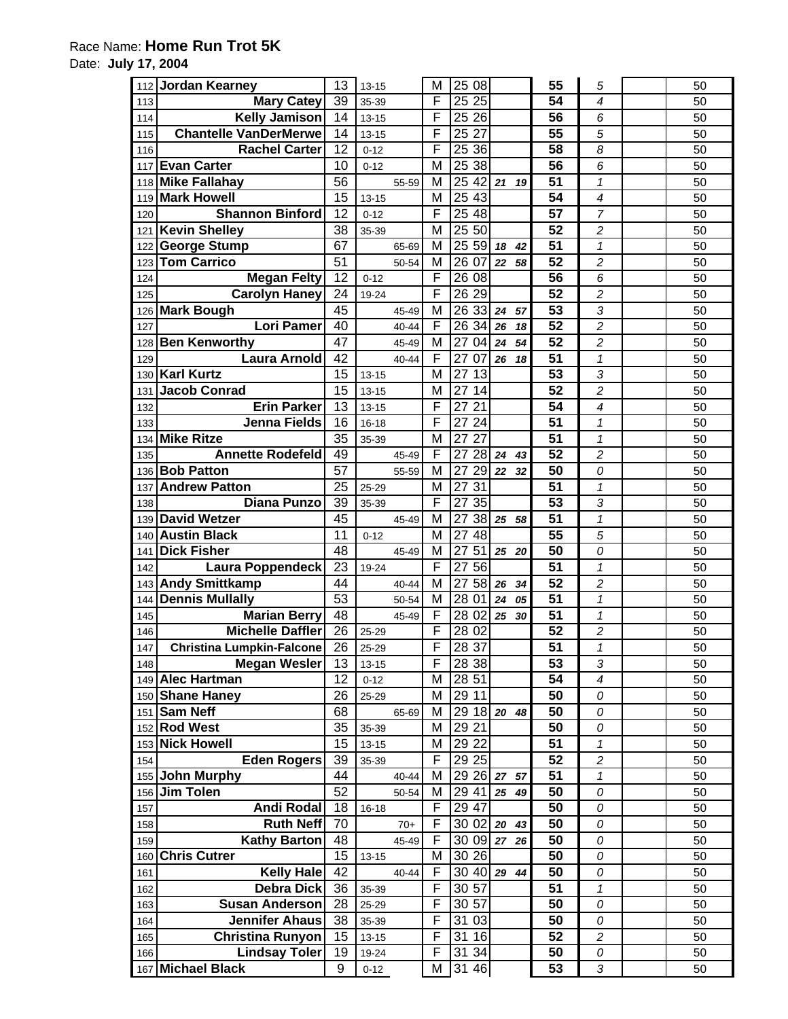## Race Name: **Home Run Trot 5K**

Date: **July 17, 2004** 

| 112 | <b>Jordan Kearney</b>            | 13 | $13 - 15$ | M | 25<br>08              |       |    | 55              | 5                       | 50 |
|-----|----------------------------------|----|-----------|---|-----------------------|-------|----|-----------------|-------------------------|----|
| 113 | <b>Mary Catey</b>                | 39 | 35-39     | F | 25 25                 |       |    | 54              | 4                       | 50 |
| 114 | <b>Kelly Jamison</b>             | 14 | $13 - 15$ | F | 25<br>26              |       |    | 56              | 6                       | 50 |
| 115 | <b>Chantelle VanDerMerwe</b>     | 14 | $13 - 15$ | F | 25<br>27              |       |    | 55              | 5                       | 50 |
| 116 | <b>Rachel Carter</b>             | 12 | $0 - 12$  | F | 25 36                 |       |    | 58              | 8                       | 50 |
| 117 | <b>Evan Carter</b>               | 10 | $0 - 12$  | M | 25<br>38              |       |    | 56              | 6                       | 50 |
| 118 | <b>Mike Fallahay</b>             | 56 | 55-59     | M | 25<br>42              | 21    | 19 | 51              | $\mathbf 1$             | 50 |
| 119 | <b>Mark Howell</b>               | 15 | $13 - 15$ | M | 25 43                 |       |    | 54              | 4                       | 50 |
| 120 | <b>Shannon Binford</b>           | 12 | $0 - 12$  | F | 2548                  |       |    | 57              | 7                       | 50 |
| 121 | <b>Kevin Shelley</b>             | 38 | 35-39     | M | 25 50                 |       |    | 52              | $\overline{c}$          | 50 |
| 122 | <b>George Stump</b>              | 67 | 65-69     | M | 25<br>59              | 18    | 42 | 51              | $\mathcal I$            | 50 |
| 123 | <b>Tom Carrico</b>               | 51 | 50-54     | M | 26 07                 | 22    | 58 | 52              | $\overline{c}$          | 50 |
| 124 | <b>Megan Felty</b>               | 12 | $0 - 12$  | F | 26 08                 |       |    | 56              | 6                       | 50 |
| 125 | <b>Carolyn Haney</b>             | 24 | 19-24     | F | 26<br>29              |       |    | $\overline{52}$ | $\overline{\mathbf{c}}$ | 50 |
| 126 | <b>Mark Bough</b>                | 45 | 45-49     | M | 26<br>33              | 24    | 57 | 53              | 3                       | 50 |
| 127 | <b>Lori Pamer</b>                | 40 | 40-44     | F | 26 34                 | 26    | 18 | 52              | $\overline{c}$          | 50 |
| 128 | <b>Ben Kenworthy</b>             | 47 | 45-49     | M | 27<br>04              | 24    | 54 | 52              | $\overline{c}$          | 50 |
| 129 | <b>Laura Arnold</b>              | 42 | 40-44     | F | 27<br>07              | 26    | 18 | 51              | $\mathbf 1$             | 50 |
| 130 | <b>Karl Kurtz</b>                | 15 | $13 - 15$ | M | 27<br>13              |       |    | 53              | 3                       | 50 |
| 131 | <b>Jacob Conrad</b>              | 15 | $13 - 15$ | M | 27<br>14              |       |    | 52              | $\overline{c}$          | 50 |
| 132 | <b>Erin Parker</b>               | 13 | $13 - 15$ | F | 27<br>21              |       |    | 54              | 4                       | 50 |
| 133 | <b>Jenna Fields</b>              | 16 | $16 - 18$ | F | $\overline{24}$<br>27 |       |    | 51              | $\mathbf{1}$            | 50 |
| 134 | <b>Mike Ritze</b>                | 35 | 35-39     | M | 27<br>27              |       |    | 51              | $\mathbf{1}$            | 50 |
| 135 | <b>Annette Rodefeld</b>          | 49 | 45-49     | F | 28<br>27              | 24    | 43 | 52              | 2                       | 50 |
| 136 | <b>Bob Patton</b>                | 57 | 55-59     | M | 29<br>27              | 22    | 32 | $\overline{50}$ | 0                       | 50 |
| 137 | <b>Andrew Patton</b>             | 25 | 25-29     | M | 27<br>31              |       |    | $\overline{51}$ | 1                       | 50 |
| 138 | <b>Diana Punzo</b>               | 39 | 35-39     | F | 35<br>27              |       |    | 53              | 3                       | 50 |
| 139 | <b>David Wetzer</b>              | 45 | 45-49     | M | 27<br>38              | 25    | 58 | 51              | $\mathbf{1}$            | 50 |
| 140 | <b>Austin Black</b>              | 11 | $0 - 12$  | M | 48<br>27              |       |    | 55              | 5                       | 50 |
| 141 | <b>Dick Fisher</b>               | 48 | 45-49     | M | 27<br>51              | 25    | 20 | 50              | 0                       | 50 |
| 142 | <b>Laura Poppendeck</b>          | 23 | 19-24     | F | 27<br>56              |       |    | 51              | $\mathbf 1$             | 50 |
| 143 | <b>Andy Smittkamp</b>            | 44 | 40-44     | M | 27<br>58              | 26    | 34 | 52              | $\overline{c}$          | 50 |
| 144 | <b>Dennis Mullally</b>           | 53 | 50-54     | M | 28 01                 | 24    | 05 | 51              | $\mathbf 1$             | 50 |
| 145 | <b>Marian Berry</b>              | 48 | 45-49     | F | 28 02                 | 25    | 30 | 51              | $\mathbf{1}$            | 50 |
| 146 | <b>Michelle Daffler</b>          | 26 | 25-29     | F | 28 02                 |       |    | 52              | $\overline{c}$          | 50 |
| 147 | <b>Christina Lumpkin-Falcone</b> | 26 | 25-29     | F | 28 37                 |       |    | 51              | $\mathbf{1}$            | 50 |
| 148 | <b>Megan Wesler</b>              | 13 | $13 - 15$ | F | 28 38                 |       |    | 53              | 3                       | 50 |
|     | 149 Alec Hartman                 | 12 | $0 - 12$  | М | 28 51                 |       |    | 54              | 4                       | 50 |
| 150 | <b>Shane Haney</b>               | 26 | 25-29     | M | 29 11                 |       |    | 50              | 0                       | 50 |
| 151 | <b>Sam Neff</b>                  | 68 | 65-69     | M | 29 18                 | 20    | 48 | 50              | 0                       | 50 |
|     | 152 Rod West                     | 35 | 35-39     | M | 29 21                 |       |    | 50              | 0                       | 50 |
| 153 | <b>Nick Howell</b>               | 15 | $13 - 15$ | M | $\overline{29}$ 22    |       |    | 51              | 1                       | 50 |
| 154 | <b>Eden Rogers</b>               | 39 | 35-39     | F | 29 25                 |       |    | 52              | 2                       | 50 |
|     | 155 John Murphy                  | 44 | 40-44     | M | 29 26                 | 27    | 57 | 51              | $\mathcal I$            | 50 |
| 156 | <b>Jim Tolen</b>                 | 52 | 50-54     | M | 29 41                 | 25 49 |    | 50              | 0                       | 50 |
| 157 | <b>Andi Rodal</b>                | 18 | 16-18     | F | 29 47                 |       |    | 50              | 0                       | 50 |
| 158 | <b>Ruth Neff</b>                 | 70 | $70+$     | F | 30 02                 | 20    | 43 | 50              | 0                       | 50 |
| 159 | <b>Kathy Barton</b>              | 48 | 45-49     | F | 30 09                 | 27 26 |    | 50              | 0                       | 50 |
| 160 | <b>Chris Cutrer</b>              | 15 | $13 - 15$ | M | 30 26                 |       |    | 50              | 0                       | 50 |
| 161 | <b>Kelly Hale</b>                | 42 | 40-44     | F | 30 40                 | 29    | 44 | 50              | 0                       | 50 |
| 162 | <b>Debra Dick</b>                | 36 | 35-39     | F | 30 57                 |       |    | 51              | 1                       | 50 |
| 163 | <b>Susan Anderson</b>            | 28 | 25-29     | F | 30 57                 |       |    | 50              | 0                       | 50 |
| 164 | <b>Jennifer Ahaus</b>            | 38 | 35-39     | F | 31<br>03              |       |    | 50              | 0                       | 50 |
| 165 | <b>Christina Runyon</b>          | 15 | $13 - 15$ | F | 31<br>16              |       |    | 52              | $\overline{c}$          | 50 |
| 166 | <b>Lindsay Toler</b>             | 19 | 19-24     | F | 31 34                 |       |    | 50              | 0                       | 50 |
|     | 167 Michael Black                | 9  | $0 - 12$  | M | 31 46                 |       |    | 53              | 3                       | 50 |